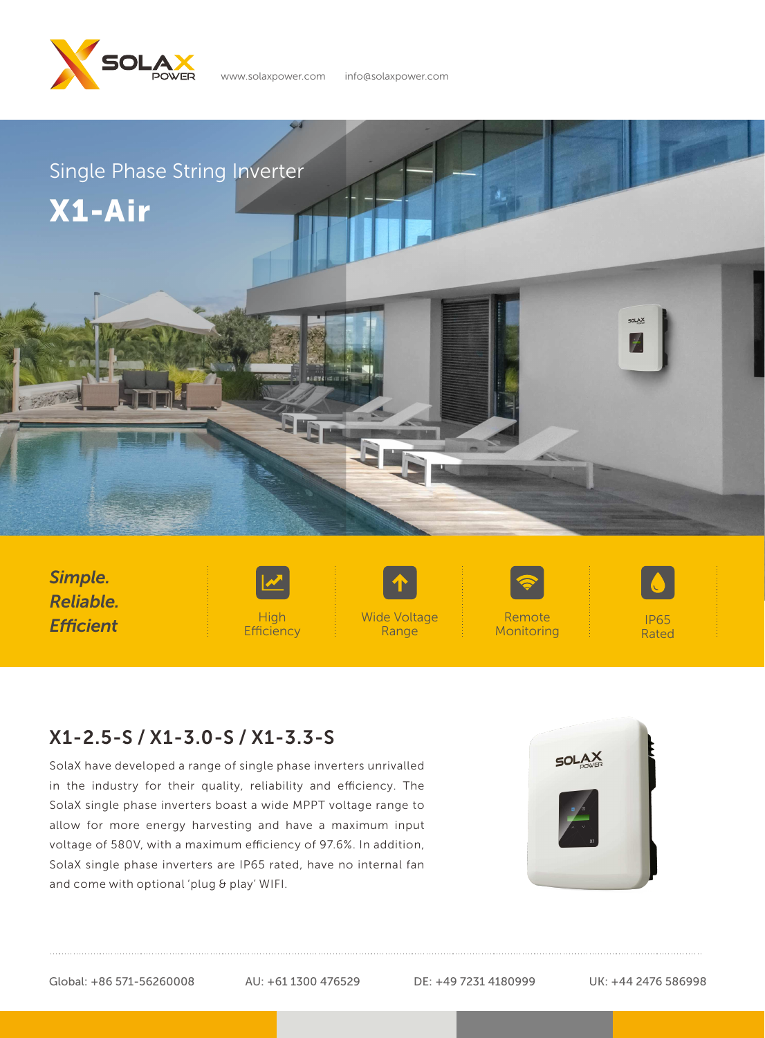

www.solaxpower.com info@solaxpower.com



*Simple. Reliable. Efficient*



High **Efficiency**  Wide Voltage Range



Remote **Monitoring** 



IP65 Rated

## X1-2.5-S / X1-3.0-S / X1-3.3-S

SolaX have developed a range of single phase inverters unrivalled in the industry for their quality, reliability and efficiency. The SolaX single phase inverters boast a wide MPPT voltage range to allow for more energy harvesting and have a maximum input voltage of 580V, with a maximum efficiency of 97.6%. In addition, SolaX single phase inverters are IP65 rated, have no internal fan and come with optional 'plug & play' WIFI.